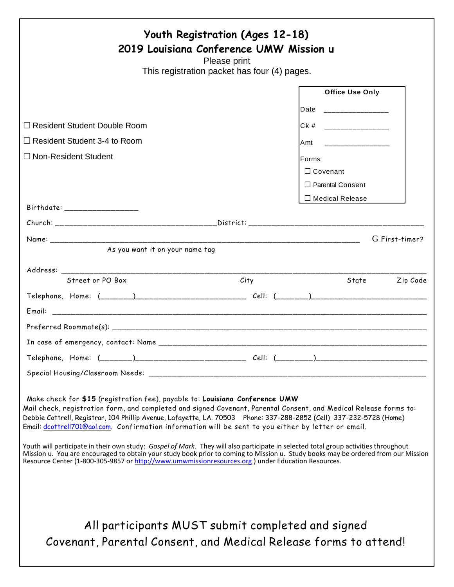| Youth Registration (Ages 12-18)<br>2019 Louisiana Conference UMW Mission u<br>Please print                                                                                                                                                                                                                                                                                                                                                                                                                                                                                                                                                                                                                                                                                                                         |                          |  |
|--------------------------------------------------------------------------------------------------------------------------------------------------------------------------------------------------------------------------------------------------------------------------------------------------------------------------------------------------------------------------------------------------------------------------------------------------------------------------------------------------------------------------------------------------------------------------------------------------------------------------------------------------------------------------------------------------------------------------------------------------------------------------------------------------------------------|--------------------------|--|
| This registration packet has four (4) pages.                                                                                                                                                                                                                                                                                                                                                                                                                                                                                                                                                                                                                                                                                                                                                                       |                          |  |
|                                                                                                                                                                                                                                                                                                                                                                                                                                                                                                                                                                                                                                                                                                                                                                                                                    | <b>Office Use Only</b>   |  |
|                                                                                                                                                                                                                                                                                                                                                                                                                                                                                                                                                                                                                                                                                                                                                                                                                    | Date __________________  |  |
| □ Resident Student Double Room                                                                                                                                                                                                                                                                                                                                                                                                                                                                                                                                                                                                                                                                                                                                                                                     | Ck # ___________________ |  |
| $\Box$ Resident Student 3-4 to Room                                                                                                                                                                                                                                                                                                                                                                                                                                                                                                                                                                                                                                                                                                                                                                                | Amt __________________   |  |
| □ Non-Resident Student                                                                                                                                                                                                                                                                                                                                                                                                                                                                                                                                                                                                                                                                                                                                                                                             | <b>Forms</b>             |  |
|                                                                                                                                                                                                                                                                                                                                                                                                                                                                                                                                                                                                                                                                                                                                                                                                                    | $\Box$ Covenant          |  |
|                                                                                                                                                                                                                                                                                                                                                                                                                                                                                                                                                                                                                                                                                                                                                                                                                    | □ Parental Consent       |  |
|                                                                                                                                                                                                                                                                                                                                                                                                                                                                                                                                                                                                                                                                                                                                                                                                                    | $\Box$ Medical Release   |  |
| $Birthdate: ____________\_$                                                                                                                                                                                                                                                                                                                                                                                                                                                                                                                                                                                                                                                                                                                                                                                        |                          |  |
|                                                                                                                                                                                                                                                                                                                                                                                                                                                                                                                                                                                                                                                                                                                                                                                                                    |                          |  |
| As you want it on your name tag                                                                                                                                                                                                                                                                                                                                                                                                                                                                                                                                                                                                                                                                                                                                                                                    | G First-timer?           |  |
|                                                                                                                                                                                                                                                                                                                                                                                                                                                                                                                                                                                                                                                                                                                                                                                                                    |                          |  |
| Street or PO Box<br>City                                                                                                                                                                                                                                                                                                                                                                                                                                                                                                                                                                                                                                                                                                                                                                                           | State Zip Code           |  |
|                                                                                                                                                                                                                                                                                                                                                                                                                                                                                                                                                                                                                                                                                                                                                                                                                    |                          |  |
|                                                                                                                                                                                                                                                                                                                                                                                                                                                                                                                                                                                                                                                                                                                                                                                                                    |                          |  |
|                                                                                                                                                                                                                                                                                                                                                                                                                                                                                                                                                                                                                                                                                                                                                                                                                    |                          |  |
|                                                                                                                                                                                                                                                                                                                                                                                                                                                                                                                                                                                                                                                                                                                                                                                                                    |                          |  |
|                                                                                                                                                                                                                                                                                                                                                                                                                                                                                                                                                                                                                                                                                                                                                                                                                    |                          |  |
| Telephone, Home: (______                                                                                                                                                                                                                                                                                                                                                                                                                                                                                                                                                                                                                                                                                                                                                                                           |                          |  |
|                                                                                                                                                                                                                                                                                                                                                                                                                                                                                                                                                                                                                                                                                                                                                                                                                    |                          |  |
| Make check for \$15 (registration fee), payable to: Louisiana Conference UMW<br>Mail check, registration form, and completed and signed Covenant, Parental Consent, and Medical Release forms to:<br>Debbie Cottrell, Registrar, 104 Phillip Avenue, Lafayette, LA. 70503 Phone: 337-288-2852 (Cell) 337-232-5728 (Home)<br>Email: dcottrell701@aol.com. Confirmation information will be sent to you either by letter or email.<br>Youth will participate in their own study: Gospel of Mark. They will also participate in selected total group activities throughout<br>Mission u. You are encouraged to obtain your study book prior to coming to Mission u. Study books may be ordered from our Mission<br>Resource Center (1-800-305-9857 or http://www.umwmissionresources.org ) under Education Resources. |                          |  |
| All participants MUST submit completed and signed<br>Covenant, Parental Consent, and Medical Release forms to attend!                                                                                                                                                                                                                                                                                                                                                                                                                                                                                                                                                                                                                                                                                              |                          |  |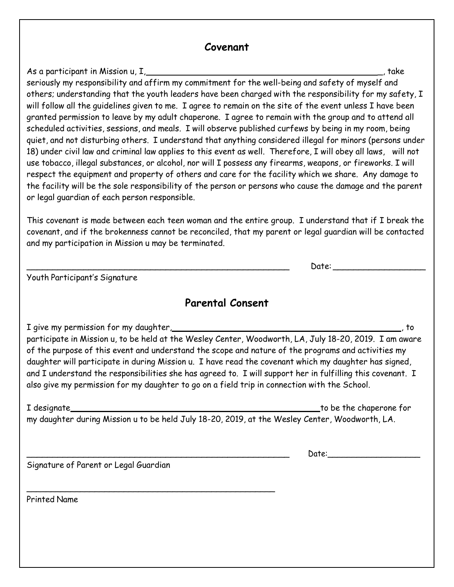### **Covenant**

As a participant in Mission u, I, \_, take seriously my responsibility and affirm my commitment for the well-being and safety of myself and others; understanding that the youth leaders have been charged with the responsibility for my safety, I will follow all the guidelines given to me. I agree to remain on the site of the event unless I have been granted permission to leave by my adult chaperone. I agree to remain with the group and to attend all scheduled activities, sessions, and meals. I will observe published curfews by being in my room, being quiet, and not disturbing others. I understand that anything considered illegal for minors (persons under 18) under civil law and criminal law applies to this event as well. Therefore, I will obey all laws, will not use tobacco, illegal substances, or alcohol, nor will I possess any firearms, weapons, or fireworks. I will respect the equipment and property of others and care for the facility which we share. Any damage to the facility will be the sole responsibility of the person or persons who cause the damage and the parent or legal guardian of each person responsible.

This covenant is made between each teen woman and the entire group. I understand that if I break the covenant, and if the brokenness cannot be reconciled, that my parent or legal guardian will be contacted and my participation in Mission u may be terminated.

\_\_\_\_\_\_\_\_\_\_\_\_\_\_\_\_\_\_\_\_\_\_\_\_\_\_\_\_\_\_\_\_\_\_\_\_\_\_\_\_\_\_\_\_\_\_\_\_\_\_\_ Date: \_\_\_\_\_\_\_\_\_\_\_\_\_\_\_\_\_\_

Youth Participant's Signature

## **Parental Consent**

I give my permission for my daughter, , to participate in Mission u, to be held at the Wesley Center, Woodworth, LA, July 18-20, 2019. I am aware of the purpose of this event and understand the scope and nature of the programs and activities my daughter will participate in during Mission u. I have read the covenant which my daughter has signed, and I understand the responsibilities she has agreed to. I will support her in fulfilling this covenant. I also give my permission for my daughter to go on a field trip in connection with the School.

I designate to be the chaperone for the chaperone for the chaperone for the chaperone for the chaperone for the chaperone for the chaperone for the chaperone for the chaperone for the chaperone for the chaperone for the ch my daughter during Mission u to be held July 18-20, 2019, at the Wesley Center, Woodworth, LA.

Signature of Parent or Legal Guardian

\_\_\_\_\_\_\_\_\_\_\_\_\_\_\_\_\_\_\_\_\_\_\_\_\_\_\_\_\_\_\_\_\_\_\_\_\_\_\_\_\_\_\_\_\_\_\_\_\_\_\_

Printed Name

 $Date:$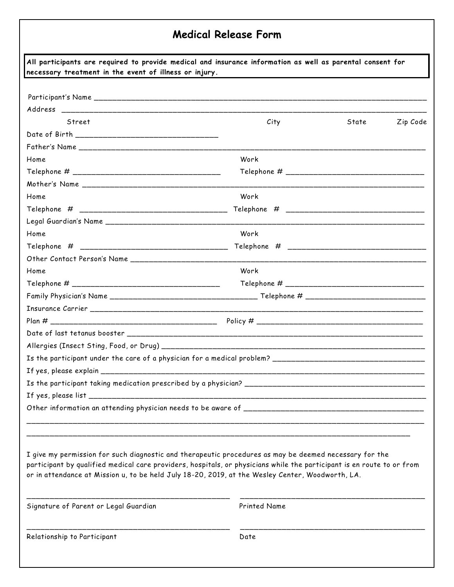# **Medical Release Form**

| All participants are required to provide medical and insurance information as well as parental consent for<br>necessary treatment in the event of illness or injury.                                                                                                                                                                 |              |       |          |  |
|--------------------------------------------------------------------------------------------------------------------------------------------------------------------------------------------------------------------------------------------------------------------------------------------------------------------------------------|--------------|-------|----------|--|
|                                                                                                                                                                                                                                                                                                                                      |              |       |          |  |
|                                                                                                                                                                                                                                                                                                                                      |              |       |          |  |
| Street                                                                                                                                                                                                                                                                                                                               | City         | State | Zip Code |  |
|                                                                                                                                                                                                                                                                                                                                      |              |       |          |  |
|                                                                                                                                                                                                                                                                                                                                      |              |       |          |  |
| Home                                                                                                                                                                                                                                                                                                                                 | Work         |       |          |  |
|                                                                                                                                                                                                                                                                                                                                      |              |       |          |  |
|                                                                                                                                                                                                                                                                                                                                      |              |       |          |  |
| Home                                                                                                                                                                                                                                                                                                                                 | Work         |       |          |  |
|                                                                                                                                                                                                                                                                                                                                      |              |       |          |  |
|                                                                                                                                                                                                                                                                                                                                      |              |       |          |  |
| Home                                                                                                                                                                                                                                                                                                                                 | Work         |       |          |  |
|                                                                                                                                                                                                                                                                                                                                      |              |       |          |  |
|                                                                                                                                                                                                                                                                                                                                      |              |       |          |  |
| Home                                                                                                                                                                                                                                                                                                                                 | Work         |       |          |  |
|                                                                                                                                                                                                                                                                                                                                      |              |       |          |  |
|                                                                                                                                                                                                                                                                                                                                      |              |       |          |  |
|                                                                                                                                                                                                                                                                                                                                      |              |       |          |  |
|                                                                                                                                                                                                                                                                                                                                      |              |       |          |  |
|                                                                                                                                                                                                                                                                                                                                      |              |       |          |  |
|                                                                                                                                                                                                                                                                                                                                      |              |       |          |  |
|                                                                                                                                                                                                                                                                                                                                      |              |       |          |  |
|                                                                                                                                                                                                                                                                                                                                      |              |       |          |  |
|                                                                                                                                                                                                                                                                                                                                      |              |       |          |  |
|                                                                                                                                                                                                                                                                                                                                      |              |       |          |  |
|                                                                                                                                                                                                                                                                                                                                      |              |       |          |  |
|                                                                                                                                                                                                                                                                                                                                      |              |       |          |  |
| I give my permission for such diagnostic and therapeutic procedures as may be deemed necessary for the<br>participant by qualified medical care providers, hospitals, or physicians while the participant is en route to or from<br>or in attendance at Mission u, to be held July 18-20, 2019, at the Wesley Center, Woodworth, LA. |              |       |          |  |
| Signature of Parent or Legal Guardian                                                                                                                                                                                                                                                                                                | Printed Name |       |          |  |
| Relationship to Participant                                                                                                                                                                                                                                                                                                          | Date         |       |          |  |